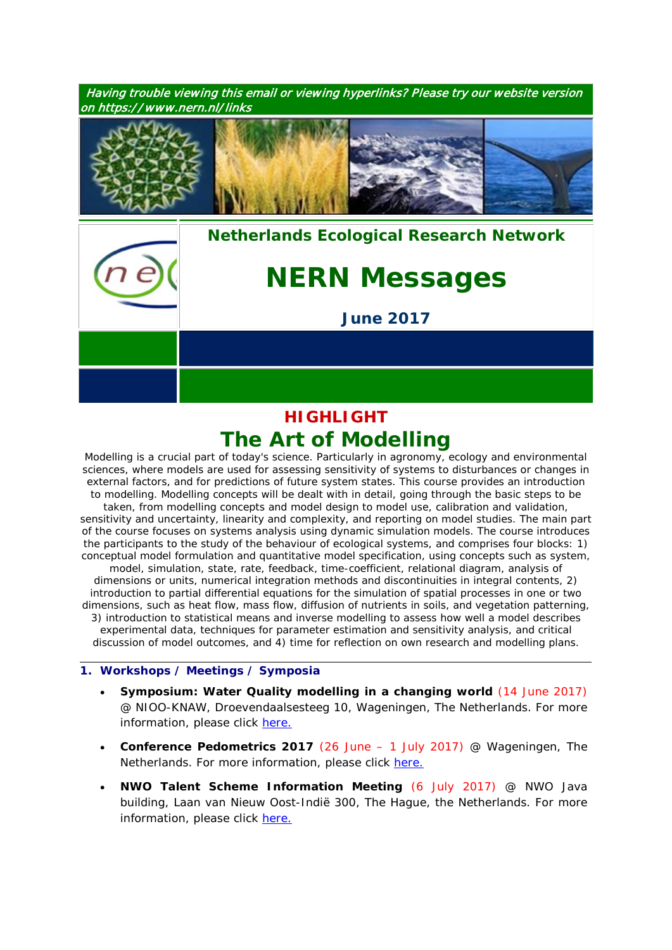Having trouble viewing this email or viewing hyperlinks? Please try our website version on https:/ / www.nern.nl/ links



*[Nethe](http://www.nern.nl/)rlands Ecological Research Network*

# *NERN Messages*

*June 2017*

# **HIGHLIGHT** *The Art of Modelling*

Modelling is a crucial part of today's science. Particularly in agronomy, ecology and environmental sciences, where models are used for assessing sensitivity of systems to disturbances or changes in external factors, and for predictions of future system states. This course provides an introduction to modelling. Modelling concepts will be dealt with in detail, going through the basic steps to be taken, from modelling concepts and model design to model use, calibration and validation, sensitivity and uncertainty, linearity and complexity, and reporting on model studies. The main part of the course focuses on systems analysis using dynamic simulation models. The course introduces the participants to the study of the behaviour of ecological systems, and comprises four blocks: 1) conceptual model formulation and quantitative model specification, using concepts such as system, model, simulation, state, rate, feedback, time-coefficient, relational diagram, analysis of dimensions or units, numerical integration methods and discontinuities in integral contents, 2) introduction to partial differential equations for the simulation of spatial processes in one or two dimensions, such as heat flow, mass flow, diffusion of nutrients in soils, and vegetation patterning, 3) introduction to statistical means and inverse modelling to assess how well a model describes experimental data, techniques for parameter estimation and sensitivity analysis, and critical discussion of model outcomes, and 4) time for reflection on own research and modelling plans.

## **1. Workshops / Meetings / Symposia**

- **Symposium: Water Quality modelling in a changing world** (14 June 2017) @ NIOO-KNAW, Droevendaalsesteeg 10, Wageningen, The Netherlands. For more information, please click [here.](https://sites.google.com/site/phdannettejanssen/symposium)
- **Conference Pedometrics 2017** (26 June 1 July 2017) @ Wageningen, The Netherlands. For more information, please click [here.](http://www.pedometrics2017.org/)
- **NWO Talent Scheme Information Meeting** (6 July 2017) @ NWO Java building, Laan van Nieuw Oost-Indië 300, The Hague, the Netherlands. For more information, please click [here.](https://www.nwo.nl/en/research-and-results/programmes/Talent+Scheme/talent+scheme+information+meeting)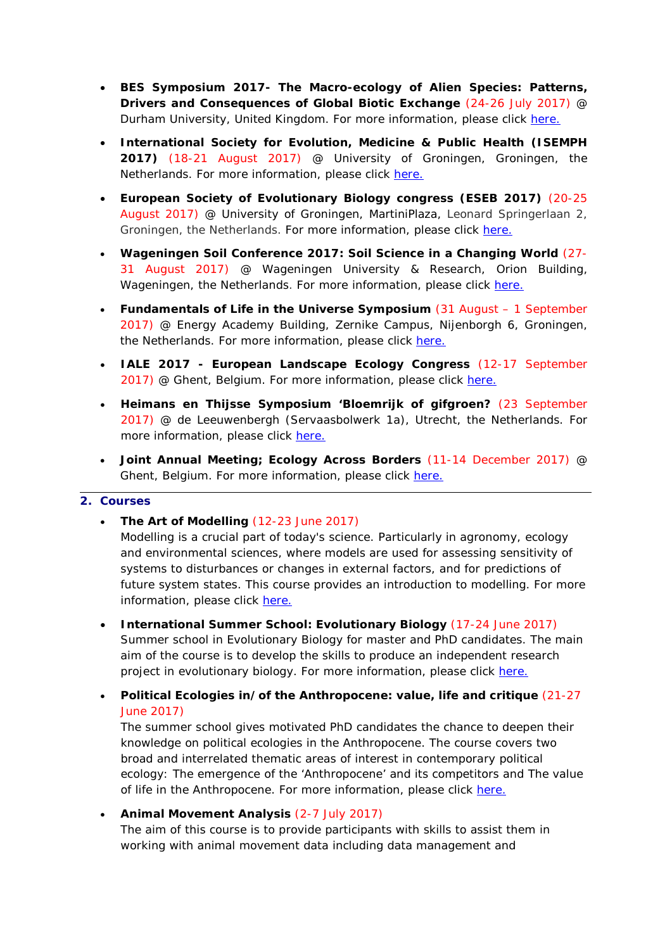- **BES Symposium 2017- The Macro-ecology of Alien Species: Patterns, Drivers and Consequences of Global Biotic Exchange** (24-26 July 2017) @ Durham University, United Kingdom. For more information, please click [here.](http://www.britishecologicalsociety.org/events/bes-symposium-2017-macroecology-alien-species-patterns-drivers-consequences-global-biotic-exchange/)
- **International Society for Evolution, Medicine & Public Health (ISEMPH 2017)** (18-21 August 2017) @ University of Groningen, Groningen, the Netherlands. For more information, please click [here.](https://evolutionarymedicine.org/2017-isemph-meeting/)
- **European Society of Evolutionary Biology congress (ESEB 2017)** (20-25 August 2017) @ University of Groningen, MartiniPlaza, Leonard Springerlaan 2, Groningen, the Netherlands. For more information, please click [here.](http://www.eseb2017.nl/home/)
- **Wageningen Soil Conference 2017: Soil Science in a Changing World** (27- 31 August 2017) @ Wageningen University & Research, Orion Building, Wageningen, the Netherlands. For more information, please click [here.](http://www.wur.nl/en/Research-Results/Projects-and-programmes/Wageningen-Soil-Conference-2017.htm)
- **Fundamentals of Life in the Universe Symposium** (31 August 1 September 2017) @ Energy Academy Building, Zernike Campus, Nijenborgh 6, Groningen, the Netherlands. For more information, please click [here.](http://www.rug.nl/research/gbb/education/origins/)
- **IALE 2017 - European Landscape Ecology Congress** (12-17 September 2017) @ Ghent, Belgium. For more information, please click [here.](http://www.iale-europe.eu/iale2017)
- **Heimans en Thijsse Symposium 'Bloemrijk of gifgroen?** (23 September 2017) @ de Leeuwenbergh (Servaasbolwerk 1a), Utrecht, the Netherlands. For more information, please click [here.](http://www.heimansenthijssestichting.nl/)
- **Joint Annual Meeting; Ecology Across Borders** (11-14 December 2017) @ Ghent, Belgium. For more information, please click [here.](http://www.britishecologicalsociety.org/events/annual-meeting-2017/thematic-topic-ghent-2017/)

#### **2. Courses**

• **The Art of Modelling** (12-23 June 2017)

Modelling is a crucial part of today's science. Particularly in agronomy, ecology and environmental sciences, where models are used for assessing sensitivity of systems to disturbances or changes in external factors, and for predictions of future system states. This course provides an introduction to modelling. For more information, please click [here.](https://www.pe-rc.nl/postgraduate-courses/art-of-modelling)

- **International Summer School: Evolutionary Biology** (17-24 June 2017) Summer school in Evolutionary Biology for master and PhD candidates. The main aim of the course is to develop the skills to produce an independent research project in evolutionary biology. For more information, please click [here.](http://www.evolution.unibas.ch/teaching/guarda/index.htm)
- **Political Ecologies in/of the Anthropocene: value, life and critique** (21-27 June 2017)

The summer school gives motivated PhD candidates the chance to deepen their knowledge on political ecologies in the Anthropocene. The course covers two broad and interrelated thematic areas of interest in contemporary political ecology: The emergence of the 'Anthropocene' and its competitors and The value of life in the Anthropocene. For more information, please click [here.](http://www.wur.nl/nl/activiteit/Political-Ecologies-inof-the-Anthropocene-value-life-and-critique.htm)

• **Animal Movement Analysis** (2-7 July 2017) The aim of this course is to provide participants with skills to assist them in working with animal movement data including data management and